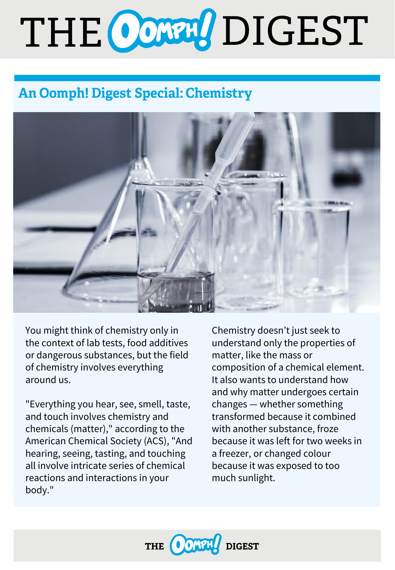# THE CONN DIGEST

# **An Oomph! Digest Special: Chemistry**



You might think of chemistry only in the context of lab tests, food additives or dangerous substances, but the field of chemistry involves everything around us.

"Everything you hear, see, smell, taste, and touch involves chemistry and chemicals (matter)," according to the American Chemical Society (ACS), "And hearing, seeing, tasting, and touching all involve intricate series of chemical reactions and interactions in your body."

Chemistry doesn't just seek to understand only the properties of matter, like the mass or composition of a chemical element. It also wants to understand how and why matter undergoes certain changes — whether something transformed because it combined with another substance, froze because it was left for two weeks in a freezer, or changed colour because it was exposed to too much sunlight.

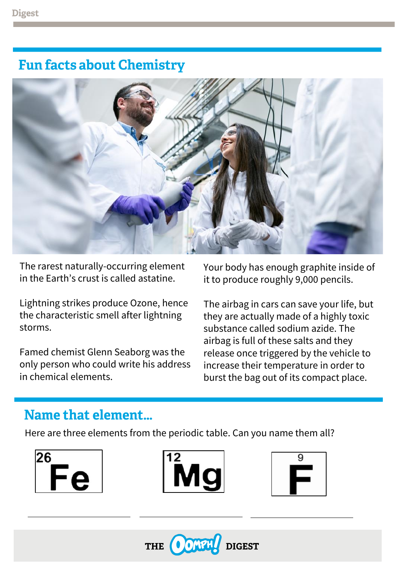## **Fun facts about Chemistry**



The rarest naturally-occurring element in the Earth's crust is called astatine.

Lightning strikes produce Ozone, hence the characteristic smell after lightning storms.

Famed chemist Glenn Seaborg was the only person who could write his address in chemical elements.

Your body has enough graphite inside of it to produce roughly 9,000 pencils.

The airbag in cars can save your life, but they are actually made of a highly toxic substance called sodium azide. The airbag is full of these salts and they release once triggered by the vehicle to increase their temperature in order to burst the bag out of its compact place.

### Name that element...

Here are three elements from the periodic table. Can you name them all?

| ◢ |  |  |
|---|--|--|
|   |  |  |
|   |  |  |





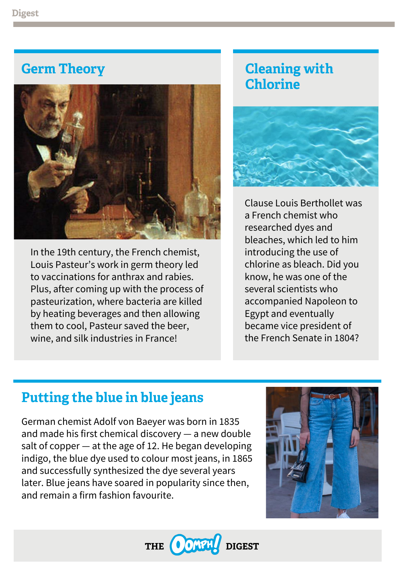## **Germ Theory**



In the 19th century, the French chemist, Louis Pasteur's work in germ theory led to vaccinations for anthrax and rabies. Plus, after coming up with the process of pasteurization, where bacteria are killed by heating beverages and then allowing them to cool, Pasteur saved the beer, wine, and silk industries in France!

# **Cleaning with Chlorine**



Clause Louis Berthollet was a French chemist who researched dyes and bleaches, which led to him introducing the use of chlorine as bleach. Did you know, he was one of the several scientists who accompanied Napoleon to Egypt and eventually became vice president of the French Senate in 1804?

## **Putting the blue in blue jeans**

German chemist Adolf von Baeyer was born in 1835 and made his first chemical discovery — a new double salt of copper — at the age of 12. He began developing indigo, the blue dye used to colour most jeans, in 1865 and successfully synthesized the dye several years later. Blue jeans have soared in popularity since then, and remain a firm fashion favourite.